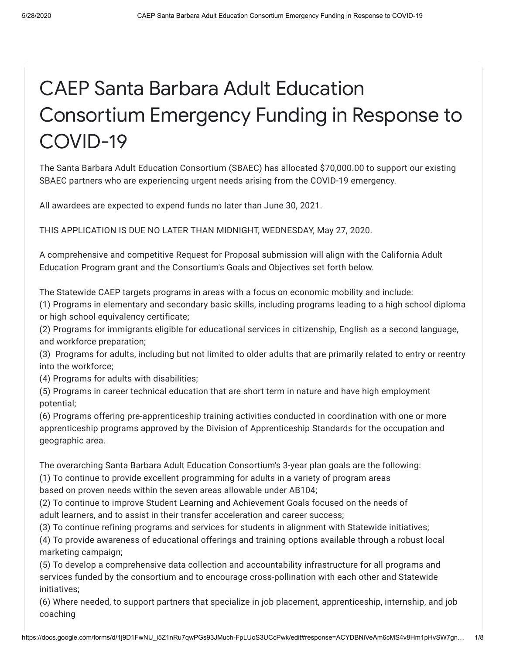# CAEP Santa Barbara Adult Education Consortium Emergency Funding in Response to COVID-19

The Santa Barbara Adult Education Consortium (SBAEC) has allocated \$70,000.00 to support our existing SBAEC partners who are experiencing urgent needs arising from the COVID-19 emergency.

All awardees are expected to expend funds no later than June 30, 2021.

THIS APPLICATION IS DUE NO LATER THAN MIDNIGHT, WEDNESDAY, May 27, 2020.

A comprehensive and competitive Request for Proposal submission will align with the California Adult Education Program grant and the Consortium's Goals and Objectives set forth below.

The Statewide CAEP targets programs in areas with a focus on economic mobility and include:

(1) Programs in elementary and secondary basic skills, including programs leading to a high school diploma or high school equivalency certificate;

(2) Programs for immigrants eligible for educational services in citizenship, English as a second language, and workforce preparation;

(3) Programs for adults, including but not limited to older adults that are primarily related to entry or reentry into the workforce;

(4) Programs for adults with disabilities;

(5) Programs in career technical education that are short term in nature and have high employment potential;

(6) Programs offering pre-apprenticeship training activities conducted in coordination with one or more apprenticeship programs approved by the Division of Apprenticeship Standards for the occupation and geographic area.

The overarching Santa Barbara Adult Education Consortium's 3-year plan goals are the following:

(1) To continue to provide excellent programming for adults in a variety of program areas

based on proven needs within the seven areas allowable under AB104;

(2) To continue to improve Student Learning and Achievement Goals focused on the needs of adult learners, and to assist in their transfer acceleration and career success;

(3) To continue refining programs and services for students in alignment with Statewide initiatives;

(4) To provide awareness of educational offerings and training options available through a robust local marketing campaign;

(5) To develop a comprehensive data collection and accountability infrastructure for all programs and services funded by the consortium and to encourage cross-pollination with each other and Statewide initiatives;

(6) Where needed, to support partners that specialize in job placement, apprenticeship, internship, and job coaching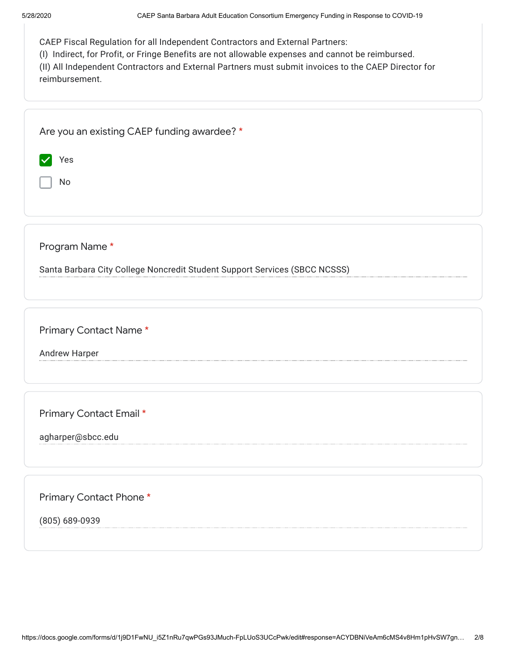| CAEP Santa Barbara Adult Education Consortium Emergency Funding in Response to COVID-19<br>5/28/2020                                                                                                                                                                                                         |
|--------------------------------------------------------------------------------------------------------------------------------------------------------------------------------------------------------------------------------------------------------------------------------------------------------------|
| CAEP Fiscal Regulation for all Independent Contractors and External Partners:<br>(I) Indirect, for Profit, or Fringe Benefits are not allowable expenses and cannot be reimbursed.<br>(II) All Independent Contractors and External Partners must submit invoices to the CAEP Director for<br>reimbursement. |
| Are you an existing CAEP funding awardee? *                                                                                                                                                                                                                                                                  |
| Yes                                                                                                                                                                                                                                                                                                          |
| No                                                                                                                                                                                                                                                                                                           |
|                                                                                                                                                                                                                                                                                                              |
| Program Name*                                                                                                                                                                                                                                                                                                |
| Santa Barbara City College Noncredit Student Support Services (SBCC NCSSS)                                                                                                                                                                                                                                   |
| Primary Contact Name*                                                                                                                                                                                                                                                                                        |
| <b>Andrew Harper</b>                                                                                                                                                                                                                                                                                         |
|                                                                                                                                                                                                                                                                                                              |
| Primary Contact Email *                                                                                                                                                                                                                                                                                      |
| agharper@sbcc.edu                                                                                                                                                                                                                                                                                            |
|                                                                                                                                                                                                                                                                                                              |
|                                                                                                                                                                                                                                                                                                              |
| Primary Contact Phone*                                                                                                                                                                                                                                                                                       |
| (805) 689-0939                                                                                                                                                                                                                                                                                               |
|                                                                                                                                                                                                                                                                                                              |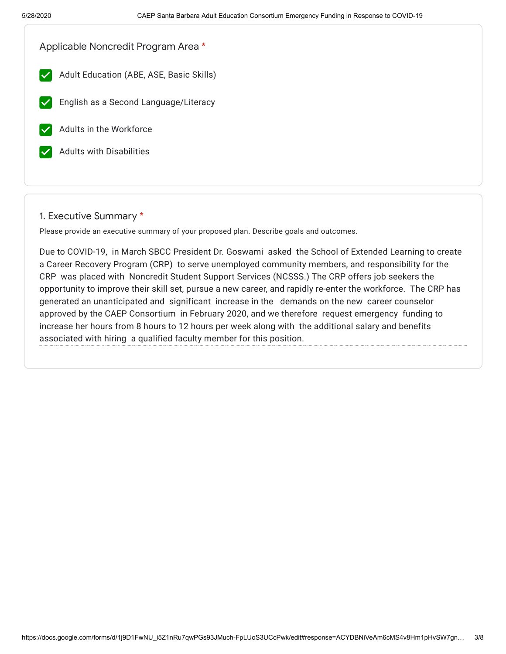| Applicable Noncredit Program Area *                      |  |
|----------------------------------------------------------|--|
| Adult Education (ABE, ASE, Basic Skills)<br>$\checkmark$ |  |
| English as a Second Language/Literacy                    |  |
| Adults in the Workforce                                  |  |
| <b>Adults with Disabilities</b>                          |  |
|                                                          |  |

#### 1. Executive Summary \*

Please provide an executive summary of your proposed plan. Describe goals and outcomes.

Due to COVID-19, in March SBCC President Dr. Goswami asked the School of Extended Learning to create a Career Recovery Program (CRP) to serve unemployed community members, and responsibility for the CRP was placed with Noncredit Student Support Services (NCSSS.) The CRP offers job seekers the opportunity to improve their skill set, pursue a new career, and rapidly re-enter the workforce. The CRP has generated an unanticipated and significant increase in the demands on the new career counselor approved by the CAEP Consortium in February 2020, and we therefore request emergency funding to increase her hours from 8 hours to 12 hours per week along with the additional salary and benefits associated with hiring a qualified faculty member for this position.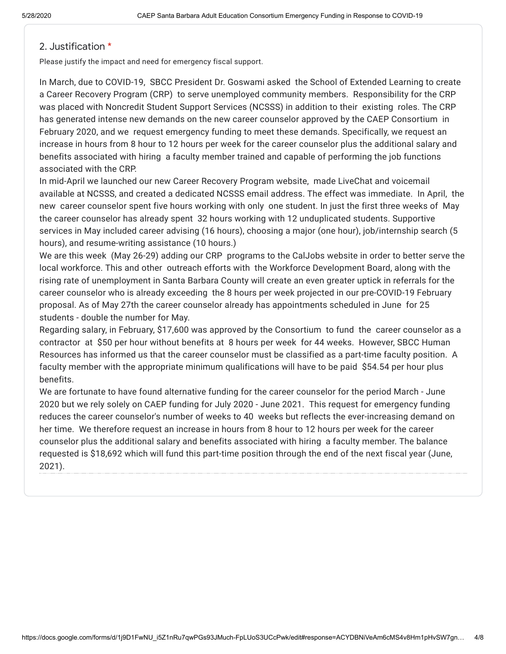# 2. Justification \*

Please justify the impact and need for emergency fiscal support.

In March, due to COVID-19, SBCC President Dr. Goswami asked the School of Extended Learning to create a Career Recovery Program (CRP) to serve unemployed community members. Responsibility for the CRP was placed with Noncredit Student Support Services (NCSSS) in addition to their existing roles. The CRP has generated intense new demands on the new career counselor approved by the CAEP Consortium in February 2020, and we request emergency funding to meet these demands. Specifically, we request an increase in hours from 8 hour to 12 hours per week for the career counselor plus the additional salary and benefits associated with hiring a faculty member trained and capable of performing the job functions associated with the CRP.

In mid-April we launched our new Career Recovery Program website, made LiveChat and voicemail available at NCSSS, and created a dedicated NCSSS email address. The effect was immediate. In April, the new career counselor spent five hours working with only one student. In just the first three weeks of May the career counselor has already spent 32 hours working with 12 unduplicated students. Supportive services in May included career advising (16 hours), choosing a major (one hour), job/internship search (5 hours), and resume-writing assistance (10 hours.)

We are this week (May 26-29) adding our CRP programs to the CalJobs website in order to better serve the local workforce. This and other outreach efforts with the Workforce Development Board, along with the rising rate of unemployment in Santa Barbara County will create an even greater uptick in referrals for the career counselor who is already exceeding the 8 hours per week projected in our pre-COVID-19 February proposal. As of May 27th the career counselor already has appointments scheduled in June for 25 students - double the number for May.

Regarding salary, in February, \$17,600 was approved by the Consortium to fund the career counselor as a contractor at \$50 per hour without benefits at 8 hours per week for 44 weeks. However, SBCC Human Resources has informed us that the career counselor must be classified as a part-time faculty position. A faculty member with the appropriate minimum qualifications will have to be paid \$54.54 per hour plus benefits.

We are fortunate to have found alternative funding for the career counselor for the period March - June 2020 but we rely solely on CAEP funding for July 2020 - June 2021. This request for emergency funding reduces the career counselor's number of weeks to 40 weeks but reflects the ever-increasing demand on her time. We therefore request an increase in hours from 8 hour to 12 hours per week for the career counselor plus the additional salary and benefits associated with hiring a faculty member. The balance requested is \$18,692 which will fund this part-time position through the end of the next fiscal year (June, 2021).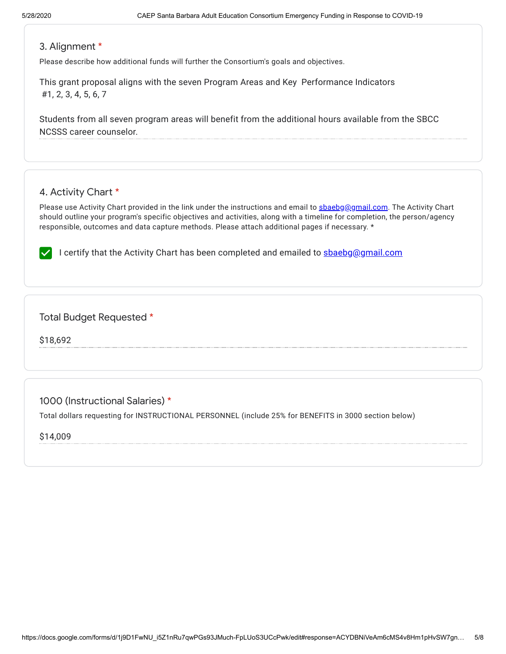# 3. Alignment \*

Please describe how additional funds will further the Consortium's goals and objectives.

This grant proposal aligns with the seven Program Areas and Key Performance Indicators #1, 2, 3, 4, 5, 6, 7

Students from all seven program areas will benefit from the additional hours available from the SBCC NCSSS career counselor.

# 4. Activity Chart \*

Please use Activity Chart provided in the link under the instructions and email to [sbaebg@gmail.com](mailto:sbaebg@gmail.com). The Activity Chart should outline your program's specific objectives and activities, along with a timeline for completion, the person/agency responsible, outcomes and data capture methods. Please attach additional pages if necessary. \*

I certify that the Activity Chart has been completed and emailed to shaebg@gmail.com

#### Total Budget Requested \*

\$18,692

1000 (Instructional Salaries) \*

Total dollars requesting for INSTRUCTIONAL PERSONNEL (include 25% for BENEFITS in 3000 section below)

\$14,009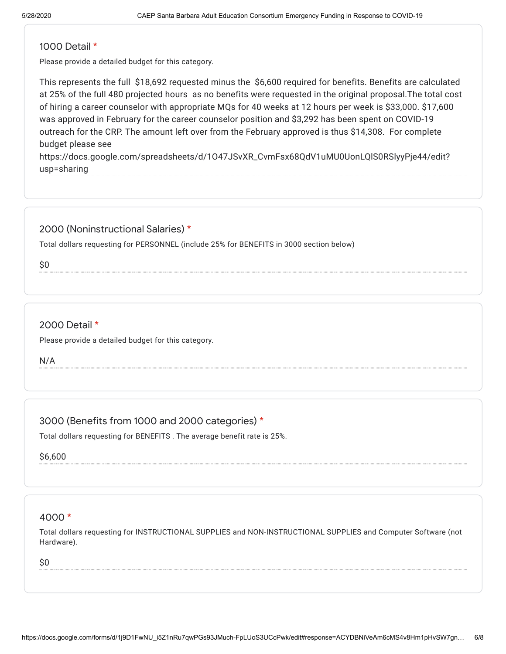#### 1000 Detail \*

Please provide a detailed budget for this category.

This represents the full \$18,692 requested minus the \$6,600 required for benefits. Benefits are calculated at 25% of the full 480 projected hours as no benefits were requested in the original proposal.The total cost of hiring a career counselor with appropriate MQs for 40 weeks at 12 hours per week is \$33,000. \$17,600 was approved in February for the career counselor position and \$3,292 has been spent on COVID-19 outreach for the CRP. The amount left over from the February approved is thus \$14,308. For complete budget please see

https://docs.google.com/spreadsheets/d/1O47JSvXR\_CvmFsx68QdV1uMU0UonLQlS0RSlyyPje44/edit? usp=sharing

### 2000 (Noninstructional Salaries) \*

Total dollars requesting for PERSONNEL (include 25% for BENEFITS in 3000 section below)

\$0

## 2000 Detail \*

Please provide a detailed budget for this category.

N/A

3000 (Benefits from 1000 and 2000 categories) \*

Total dollars requesting for BENEFITS . The average benefit rate is 25%.

\$6,600

#### 4000 \*

Total dollars requesting for INSTRUCTIONAL SUPPLIES and NON-INSTRUCTIONAL SUPPLIES and Computer Software (not Hardware).

\$0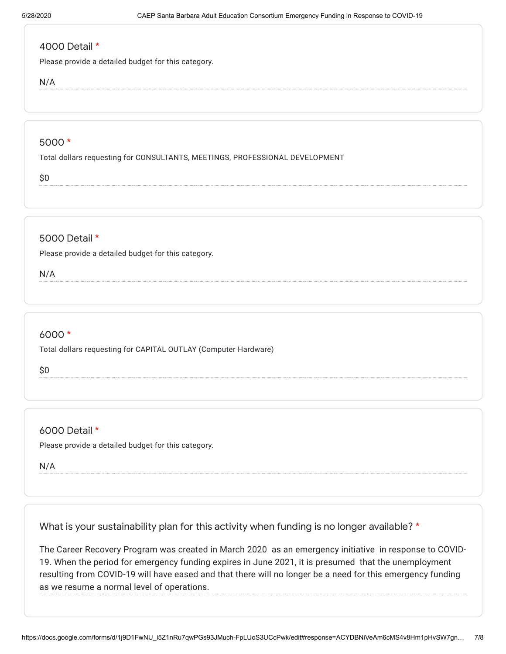## 4000 Detail \*

Please provide a detailed budget for this category.

N/A

#### 5000 \*

Total dollars requesting for CONSULTANTS, MEETINGS, PROFESSIONAL DEVELOPMENT

\$0

# 5000 Detail \*

Please provide a detailed budget for this category.

N/A

# 6000 \*

Total dollars requesting for CAPITAL OUTLAY (Computer Hardware)

\$0

6000 Detail \*

Please provide a detailed budget for this category.

N/A

What is your sustainability plan for this activity when funding is no longer available? \*

The Career Recovery Program was created in March 2020 as an emergency initiative in response to COVID-19. When the period for emergency funding expires in June 2021, it is presumed that the unemployment resulting from COVID-19 will have eased and that there will no longer be a need for this emergency funding as we resume a normal level of operations.